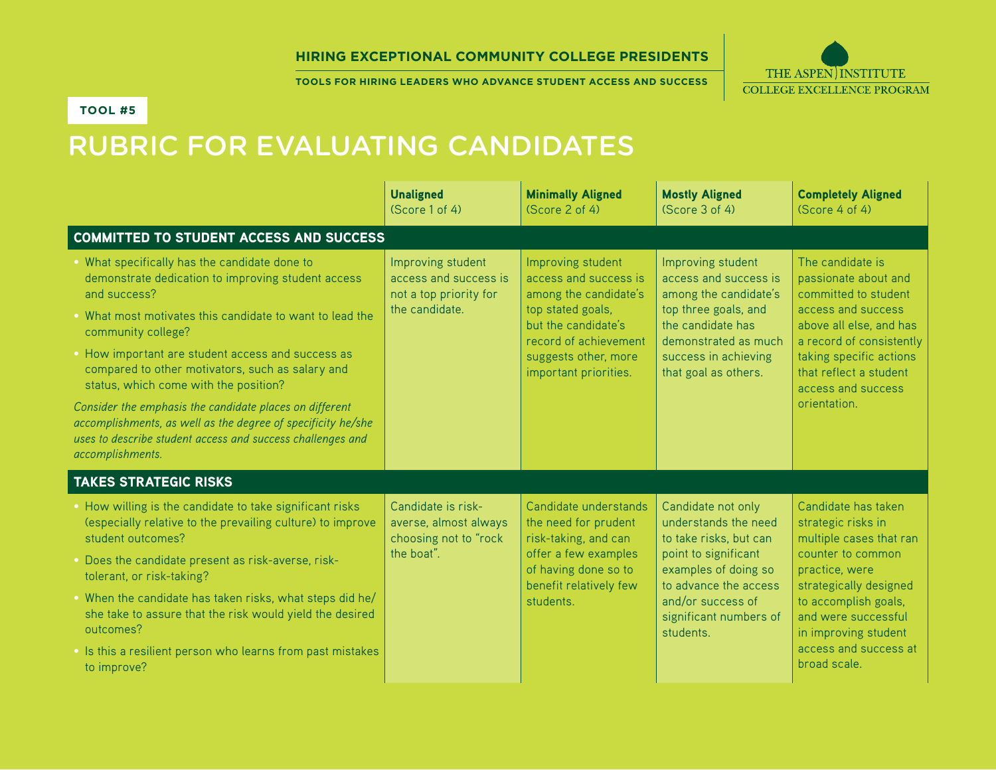#### **Hiring Exceptional Community College Presidents**

**Tools for Hiring Leaders who advance Student Access and Success**



#### **Tool #5**

# Rubric for Evaluating Candidates

|                                                                                                                                                                                                                                                                                                                                                                                                                                                                                                                                                                      | <b>Unaligned</b><br>(Score 1 of 4)                                                     | <b>Minimally Aligned</b><br>(Score 2 of 4)                                                                                                                                                | <b>Mostly Aligned</b><br>(Score 3 of 4)                                                                                                                                                                   | <b>Completely Aligned</b><br>(Score 4 of 4)                                                                                                                                                                                                           |
|----------------------------------------------------------------------------------------------------------------------------------------------------------------------------------------------------------------------------------------------------------------------------------------------------------------------------------------------------------------------------------------------------------------------------------------------------------------------------------------------------------------------------------------------------------------------|----------------------------------------------------------------------------------------|-------------------------------------------------------------------------------------------------------------------------------------------------------------------------------------------|-----------------------------------------------------------------------------------------------------------------------------------------------------------------------------------------------------------|-------------------------------------------------------------------------------------------------------------------------------------------------------------------------------------------------------------------------------------------------------|
| <b>COMMITTED TO STUDENT ACCESS AND SUCCESS</b>                                                                                                                                                                                                                                                                                                                                                                                                                                                                                                                       |                                                                                        |                                                                                                                                                                                           |                                                                                                                                                                                                           |                                                                                                                                                                                                                                                       |
| . What specifically has the candidate done to<br>demonstrate dedication to improving student access<br>and success?<br>• What most motivates this candidate to want to lead the<br>community college?<br>• How important are student access and success as<br>compared to other motivators, such as salary and<br>status, which come with the position?<br>Consider the emphasis the candidate places on different<br>accomplishments, as well as the degree of specificity he/she<br>uses to describe student access and success challenges and<br>accomplishments. | Improving student<br>access and success is<br>not a top priority for<br>the candidate. | Improving student<br>access and success is<br>among the candidate's<br>top stated goals,<br>but the candidate's<br>record of achievement<br>suggests other, more<br>important priorities. | Improving student<br>access and success is<br>among the candidate's<br>top three goals, and<br>the candidate has<br>demonstrated as much<br>success in achieving<br>that goal as others.                  | The candidate is<br>passionate about and<br>committed to student<br>access and success<br>above all else, and has<br>a record of consistently<br>taking specific actions<br>that reflect a student<br>access and success<br>orientation.              |
| <b>TAKES STRATEGIC RISKS</b>                                                                                                                                                                                                                                                                                                                                                                                                                                                                                                                                         |                                                                                        |                                                                                                                                                                                           |                                                                                                                                                                                                           |                                                                                                                                                                                                                                                       |
| How willing is the candidate to take significant risks<br>(especially relative to the prevailing culture) to improve<br>student outcomes?<br>Does the candidate present as risk-averse, risk-<br>tolerant, or risk-taking?<br>. When the candidate has taken risks, what steps did he/<br>she take to assure that the risk would yield the desired<br>outcomes?<br>. Is this a resilient person who learns from past mistakes<br>to improve?                                                                                                                         | Candidate is risk-<br>averse, almost always<br>choosing not to "rock<br>the boat".     | Candidate understands<br>the need for prudent<br>risk-taking, and can<br>offer a few examples<br>of having done so to<br>benefit relatively few<br>students.                              | Candidate not only<br>understands the need<br>to take risks, but can<br>point to significant<br>examples of doing so<br>to advance the access<br>and/or success of<br>significant numbers of<br>students. | Candidate has taken<br>strategic risks in<br>multiple cases that ran<br>counter to common<br>practice, were<br>strategically designed<br>to accomplish goals,<br>and were successful<br>in improving student<br>access and success at<br>broad scale. |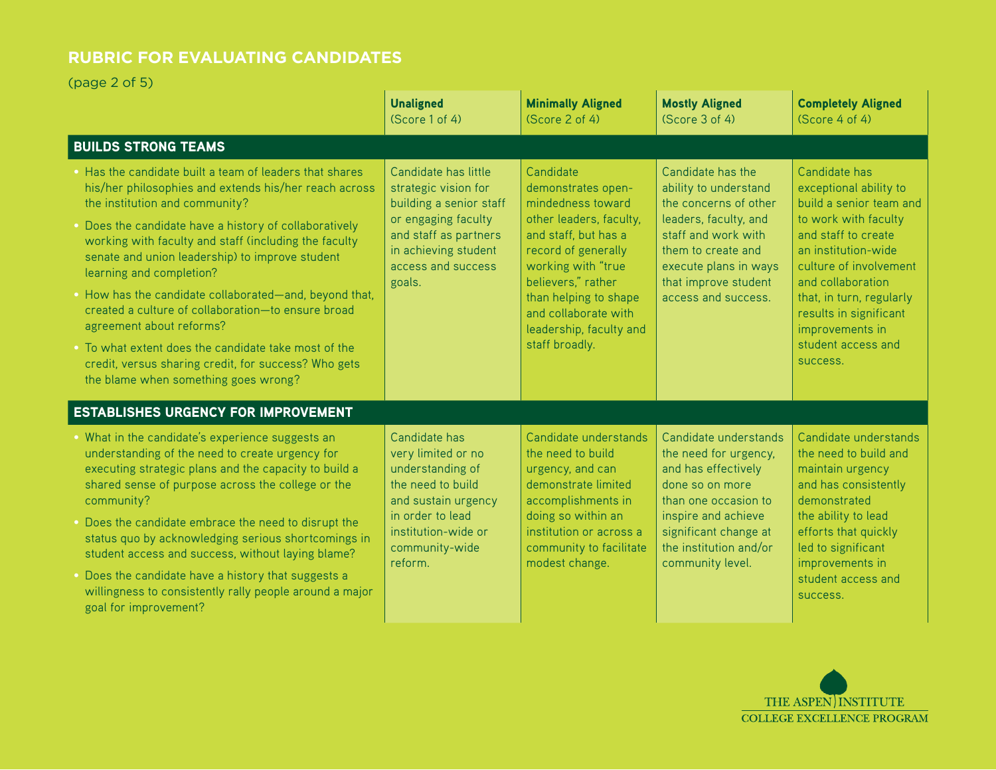(page 2 of 5)

|                                                                                                                                                                                                                                                                                                                                                                                                                                                                                                                                                                                                                                                          | <b>Unaligned</b><br>(Score 1 of 4)                                                                                                                                              | <b>Minimally Aligned</b><br>(Score 2 of 4)                                                                                                                                                                                                                               | <b>Mostly Aligned</b><br>(Score 3 of 4)                                                                                                                                                                           | <b>Completely Aligned</b><br>(Score 4 of 4)                                                                                                                                                                                                                                                        |
|----------------------------------------------------------------------------------------------------------------------------------------------------------------------------------------------------------------------------------------------------------------------------------------------------------------------------------------------------------------------------------------------------------------------------------------------------------------------------------------------------------------------------------------------------------------------------------------------------------------------------------------------------------|---------------------------------------------------------------------------------------------------------------------------------------------------------------------------------|--------------------------------------------------------------------------------------------------------------------------------------------------------------------------------------------------------------------------------------------------------------------------|-------------------------------------------------------------------------------------------------------------------------------------------------------------------------------------------------------------------|----------------------------------------------------------------------------------------------------------------------------------------------------------------------------------------------------------------------------------------------------------------------------------------------------|
| <b>BUILDS STRONG TEAMS</b>                                                                                                                                                                                                                                                                                                                                                                                                                                                                                                                                                                                                                               |                                                                                                                                                                                 |                                                                                                                                                                                                                                                                          |                                                                                                                                                                                                                   |                                                                                                                                                                                                                                                                                                    |
| • Has the candidate built a team of leaders that shares<br>his/her philosophies and extends his/her reach across<br>the institution and community?<br>• Does the candidate have a history of collaboratively<br>working with faculty and staff (including the faculty<br>senate and union leadership) to improve student<br>learning and completion?<br>. How has the candidate collaborated-and, beyond that,<br>created a culture of collaboration-to ensure broad<br>agreement about reforms?<br>• To what extent does the candidate take most of the<br>credit, versus sharing credit, for success? Who gets<br>the blame when something goes wrong? | Candidate has little<br>strategic vision for<br>building a senior staff<br>or engaging faculty<br>and staff as partners<br>in achieving student<br>access and success<br>goals. | Candidate<br>demonstrates open-<br>mindedness toward<br>other leaders, faculty,<br>and staff, but has a<br>record of generally<br>working with "true<br>believers," rather<br>than helping to shape<br>and collaborate with<br>leadership, faculty and<br>staff broadly. | Candidate has the<br>ability to understand<br>the concerns of other<br>leaders, faculty, and<br>staff and work with<br>them to create and<br>execute plans in ways<br>that improve student<br>access and success. | Candidate has<br>exceptional ability to<br>build a senior team and<br>to work with faculty<br>and staff to create<br>an institution-wide<br>culture of involvement<br>and collaboration<br>that, in turn, regularly<br>results in significant<br>improvements in<br>student access and<br>success. |
| <b>ESTABLISHES URGENCY FOR IMPROVEMENT</b>                                                                                                                                                                                                                                                                                                                                                                                                                                                                                                                                                                                                               |                                                                                                                                                                                 |                                                                                                                                                                                                                                                                          |                                                                                                                                                                                                                   |                                                                                                                                                                                                                                                                                                    |
| . What in the candidate's experience suggests an<br>understanding of the need to create urgency for<br>executing strategic plans and the capacity to build a<br>shared sense of purpose across the college or the<br>community?<br>. Does the candidate embrace the need to disrupt the<br>status quo by acknowledging serious shortcomings in<br>student access and success, without laying blame?<br>Does the candidate have a history that suggests a<br>willingness to consistently rally people around a major<br>goal for improvement?                                                                                                             | Candidate has<br>very limited or no<br>understanding of<br>the need to build<br>and sustain urgency<br>in order to lead<br>institution-wide or<br>community-wide<br>reform.     | Candidate understands<br>the need to build<br>urgency, and can<br>demonstrate limited<br>accomplishments in<br>doing so within an<br>institution or across a<br>community to facilitate<br>modest change.                                                                | Candidate understands<br>the need for urgency,<br>and has effectively<br>done so on more<br>than one occasion to<br>inspire and achieve<br>significant change at<br>the institution and/or<br>community level.    | Candidate understands<br>the need to build and<br>maintain urgency<br>and has consistently<br>demonstrated<br>the ability to lead<br>efforts that quickly<br>led to significant<br>improvements in<br>student access and<br>success.                                                               |

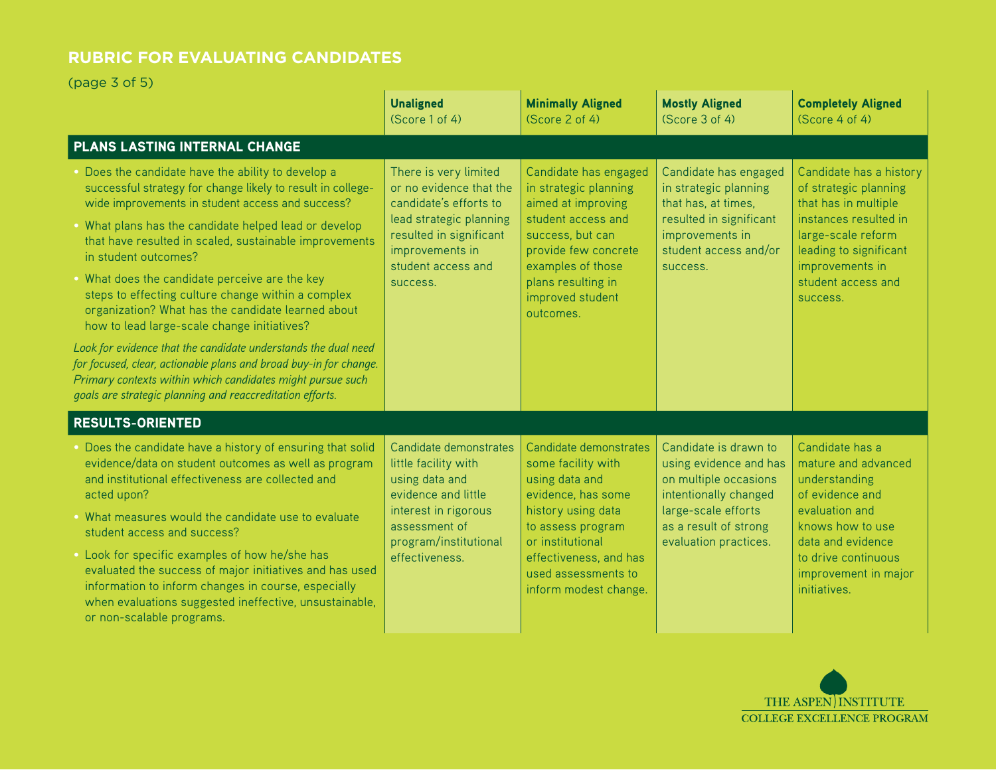(page 3 of 5)

|                                                                                                                                                                                                                                                                                                                                                                                                                                                                                                                                                                                                                                                                                                                                                                                               | <b>Unaligned</b><br>(Score 1 of 4)                                                                                                                                                    | <b>Minimally Aligned</b><br>(Score 2 of 4)                                                                                                                                                                                    | <b>Mostly Aligned</b><br>(Score 3 of 4)                                                                                                                                    | <b>Completely Aligned</b><br>(Score 4 of 4)                                                                                                                                                            |
|-----------------------------------------------------------------------------------------------------------------------------------------------------------------------------------------------------------------------------------------------------------------------------------------------------------------------------------------------------------------------------------------------------------------------------------------------------------------------------------------------------------------------------------------------------------------------------------------------------------------------------------------------------------------------------------------------------------------------------------------------------------------------------------------------|---------------------------------------------------------------------------------------------------------------------------------------------------------------------------------------|-------------------------------------------------------------------------------------------------------------------------------------------------------------------------------------------------------------------------------|----------------------------------------------------------------------------------------------------------------------------------------------------------------------------|--------------------------------------------------------------------------------------------------------------------------------------------------------------------------------------------------------|
| PLANS LASTING INTERNAL CHANGE                                                                                                                                                                                                                                                                                                                                                                                                                                                                                                                                                                                                                                                                                                                                                                 |                                                                                                                                                                                       |                                                                                                                                                                                                                               |                                                                                                                                                                            |                                                                                                                                                                                                        |
| Does the candidate have the ability to develop a<br>successful strategy for change likely to result in college-<br>wide improvements in student access and success?<br>. What plans has the candidate helped lead or develop<br>that have resulted in scaled, sustainable improvements<br>in student outcomes?<br>. What does the candidate perceive are the key<br>steps to effecting culture change within a complex<br>organization? What has the candidate learned about<br>how to lead large-scale change initiatives?<br>Look for evidence that the candidate understands the dual need<br>for focused, clear, actionable plans and broad buy-in for change.<br>Primary contexts within which candidates might pursue such<br>goals are strategic planning and reaccreditation efforts. | There is very limited<br>or no evidence that the<br>candidate's efforts to<br>lead strategic planning<br>resulted in significant<br>improvements in<br>student access and<br>success. | Candidate has engaged<br>in strategic planning<br>aimed at improving<br>student access and<br>success, but can<br>provide few concrete<br>examples of those<br>plans resulting in<br>improved student<br>outcomes.            | Candidate has engaged<br>in strategic planning<br>that has, at times,<br>resulted in significant<br>improvements in<br>student access and/or<br>success.                   | Candidate has a history<br>of strategic planning<br>that has in multiple<br>instances resulted in<br>large-scale reform<br>leading to significant<br>improvements in<br>student access and<br>success. |
| <b>RESULTS-ORIENTED</b>                                                                                                                                                                                                                                                                                                                                                                                                                                                                                                                                                                                                                                                                                                                                                                       |                                                                                                                                                                                       |                                                                                                                                                                                                                               |                                                                                                                                                                            |                                                                                                                                                                                                        |
| . Does the candidate have a history of ensuring that solid<br>evidence/data on student outcomes as well as program<br>and institutional effectiveness are collected and<br>acted upon?<br>. What measures would the candidate use to evaluate<br>student access and success?<br>. Look for specific examples of how he/she has<br>evaluated the success of major initiatives and has used<br>information to inform changes in course, especially<br>when evaluations suggested ineffective, unsustainable,<br>or non-scalable programs.                                                                                                                                                                                                                                                       | Candidate demonstrates<br>little facility with<br>using data and<br>evidence and little<br>interest in rigorous<br>assessment of<br>program/institutional<br>effectiveness.           | Candidate demonstrates<br>some facility with<br>using data and<br>evidence, has some<br>history using data<br>to assess program<br>or institutional<br>effectiveness, and has<br>used assessments to<br>inform modest change. | Candidate is drawn to<br>using evidence and has<br>on multiple occasions<br>intentionally changed<br>large-scale efforts<br>as a result of strong<br>evaluation practices. | Candidate has a<br>mature and advanced<br>understanding<br>of evidence and<br>evaluation and<br>knows how to use<br>data and evidence<br>to drive continuous<br>improvement in major<br>initiatives.   |

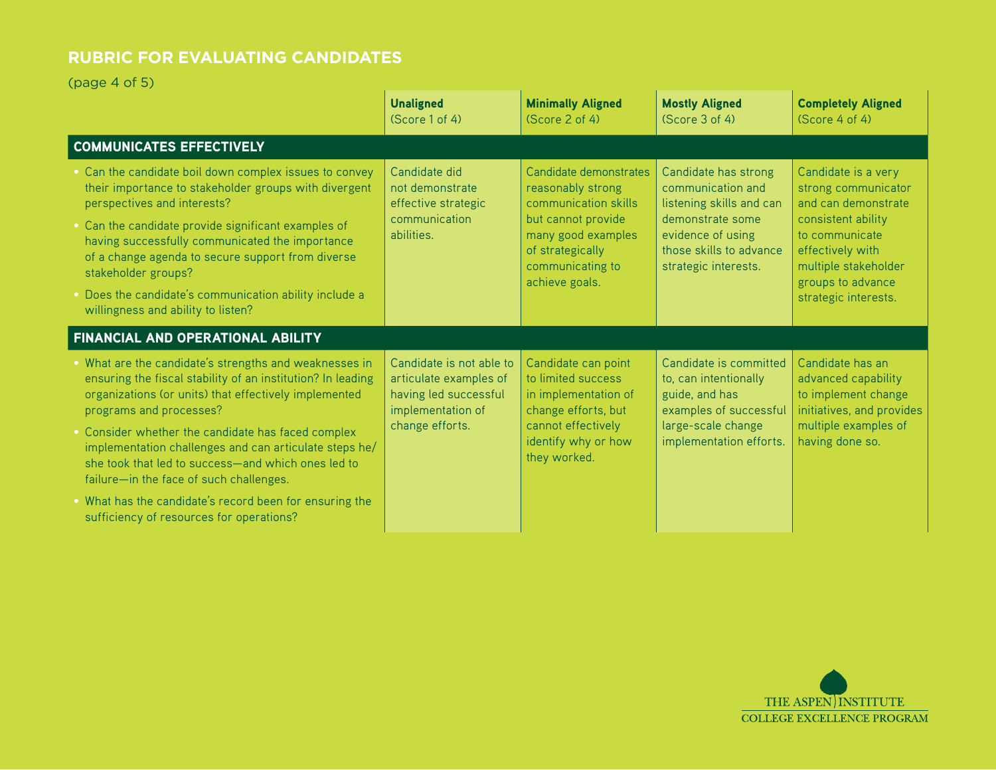(page 4 of 5)

|                                                                                                                                                                                                                                                          | <b>Unaligned</b><br>(Score 1 of 4)                                                                                  | <b>Minimally Aligned</b><br>(Score 2 of 4)                                                                                                                                | <b>Mostly Aligned</b><br>(Score 3 of 4)                                                                                                                           | <b>Completely Aligned</b><br>(Score 4 of 4)                                                                                                                                                        |  |
|----------------------------------------------------------------------------------------------------------------------------------------------------------------------------------------------------------------------------------------------------------|---------------------------------------------------------------------------------------------------------------------|---------------------------------------------------------------------------------------------------------------------------------------------------------------------------|-------------------------------------------------------------------------------------------------------------------------------------------------------------------|----------------------------------------------------------------------------------------------------------------------------------------------------------------------------------------------------|--|
| <b>COMMUNICATES EFFECTIVELY</b>                                                                                                                                                                                                                          |                                                                                                                     |                                                                                                                                                                           |                                                                                                                                                                   |                                                                                                                                                                                                    |  |
| . Can the candidate boil down complex issues to convey<br>their importance to stakeholder groups with divergent<br>perspectives and interests?<br>• Can the candidate provide significant examples of<br>having successfully communicated the importance | Candidate did<br>not demonstrate<br>effective strategic<br>communication<br>abilities.                              | Candidate demonstrates<br>reasonably strong<br>communication skills<br>but cannot provide<br>many good examples<br>of strategically<br>communicating to<br>achieve goals. | Candidate has strong<br>communication and<br>listening skills and can<br>demonstrate some<br>evidence of using<br>those skills to advance<br>strategic interests. | Candidate is a very<br>strong communicator<br>and can demonstrate<br>consistent ability<br>to communicate<br>effectively with<br>multiple stakeholder<br>groups to advance<br>strategic interests. |  |
| of a change agenda to secure support from diverse<br>stakeholder groups?                                                                                                                                                                                 |                                                                                                                     |                                                                                                                                                                           |                                                                                                                                                                   |                                                                                                                                                                                                    |  |
| . Does the candidate's communication ability include a<br>willingness and ability to listen?                                                                                                                                                             |                                                                                                                     |                                                                                                                                                                           |                                                                                                                                                                   |                                                                                                                                                                                                    |  |
| FINANCIAL AND OPERATIONAL ABILITY                                                                                                                                                                                                                        |                                                                                                                     |                                                                                                                                                                           |                                                                                                                                                                   |                                                                                                                                                                                                    |  |
| . What are the candidate's strengths and weaknesses in<br>ensuring the fiscal stability of an institution? In leading<br>organizations (or units) that effectively implemented<br>programs and processes?                                                | Candidate is not able to<br>articulate examples of<br>having led successful<br>implementation of<br>change efforts. | Candidate can point<br>to limited success<br>in implementation of<br>change efforts, but<br>cannot effectively<br>identify why or how<br>they worked.                     | Candidate is committed<br>to, can intentionally<br>guide, and has<br>examples of successful<br>large-scale change<br>implementation efforts.                      | Candidate has an<br>advanced capability<br>to implement change<br>initiatives, and provides<br>multiple examples of<br>having done so.                                                             |  |
| . Consider whether the candidate has faced complex<br>implementation challenges and can articulate steps he/<br>she took that led to success-and which ones led to<br>failure-in the face of such challenges.                                            |                                                                                                                     |                                                                                                                                                                           |                                                                                                                                                                   |                                                                                                                                                                                                    |  |
| . What has the candidate's record been for ensuring the<br>sufficiency of resources for operations?                                                                                                                                                      |                                                                                                                     |                                                                                                                                                                           |                                                                                                                                                                   |                                                                                                                                                                                                    |  |